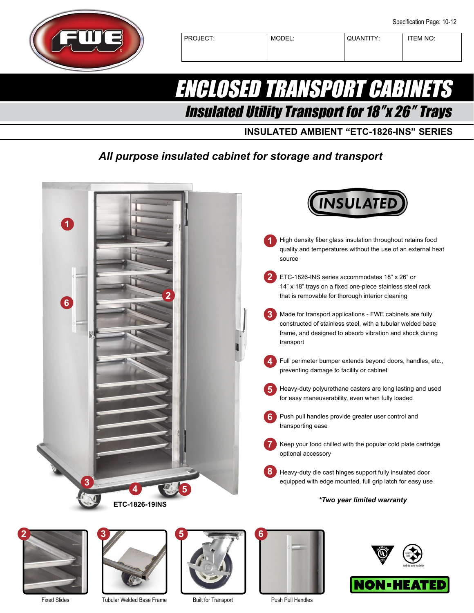

PROJECT: MODEL: QUANTITY: TEM NO:

## ENCLOSED TRANSPORT CABINETS Insulated Utility Transport for 18″x 26″ Trays

**INSULATED AMBIENT "ETC-1826-INS" SERIES**

### *All purpose insulated cabinet for storage and transport*







Tubular Welded Base Frame



Built for Transport



Push Pull Handles